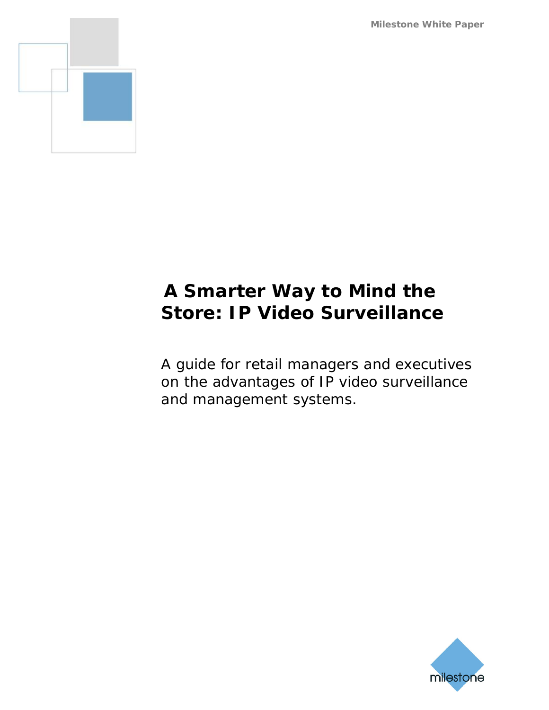**Milestone White Paper**



# **A Smarter Way to Mind the Store: IP Video Surveillance**

A guide for retail managers and executives on the advantages of IP video surveillance and management systems.

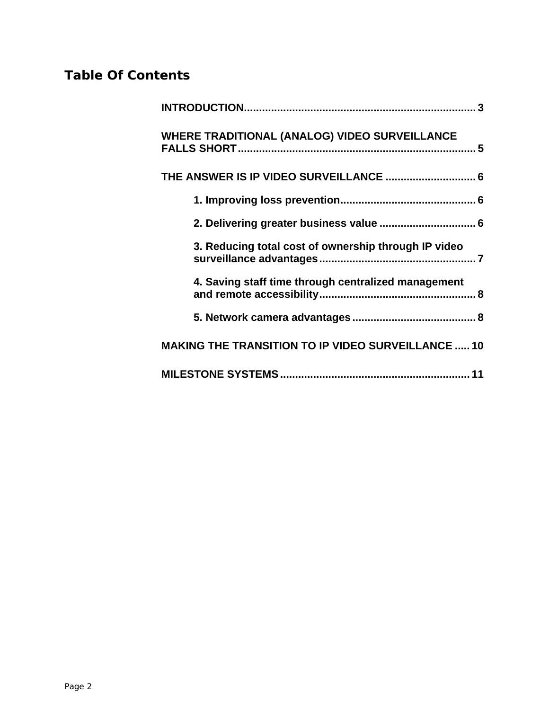# **Table Of Contents**

| WHERE TRADITIONAL (ANALOG) VIDEO SURVEILLANCE             |  |
|-----------------------------------------------------------|--|
|                                                           |  |
|                                                           |  |
| 2. Delivering greater business value  6                   |  |
| 3. Reducing total cost of ownership through IP video      |  |
| 4. Saving staff time through centralized management       |  |
|                                                           |  |
| <b>MAKING THE TRANSITION TO IP VIDEO SURVEILLANCE  10</b> |  |
|                                                           |  |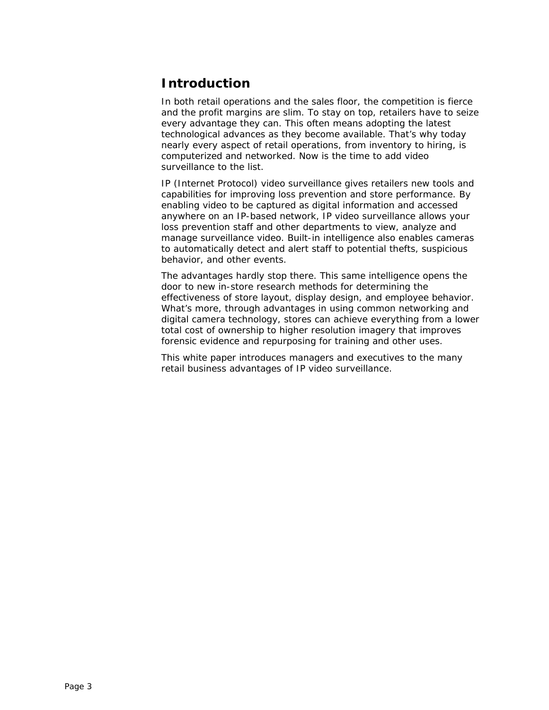## <span id="page-2-0"></span>**Introduction**

In both retail operations and the sales floor, the competition is fierce and the profit margins are slim. To stay on top, retailers have to seize every advantage they can. This often means adopting the latest technological advances as they become available. That's why today nearly every aspect of retail operations, from inventory to hiring, is computerized and networked. Now is the time to add video surveillance to the list.

IP (Internet Protocol) video surveillance gives retailers new tools and capabilities for improving loss prevention and store performance. By enabling video to be captured as digital information and accessed anywhere on an IP-based network, IP video surveillance allows your loss prevention staff and other departments to view, analyze and manage surveillance video. Built-in intelligence also enables cameras to automatically detect and alert staff to potential thefts, suspicious behavior, and other events.

The advantages hardly stop there. This same intelligence opens the door to new in-store research methods for determining the effectiveness of store layout, display design, and employee behavior. What's more, through advantages in using common networking and digital camera technology, stores can achieve everything from a lower total cost of ownership to higher resolution imagery that improves forensic evidence and repurposing for training and other uses.

This white paper introduces managers and executives to the many retail business advantages of IP video surveillance.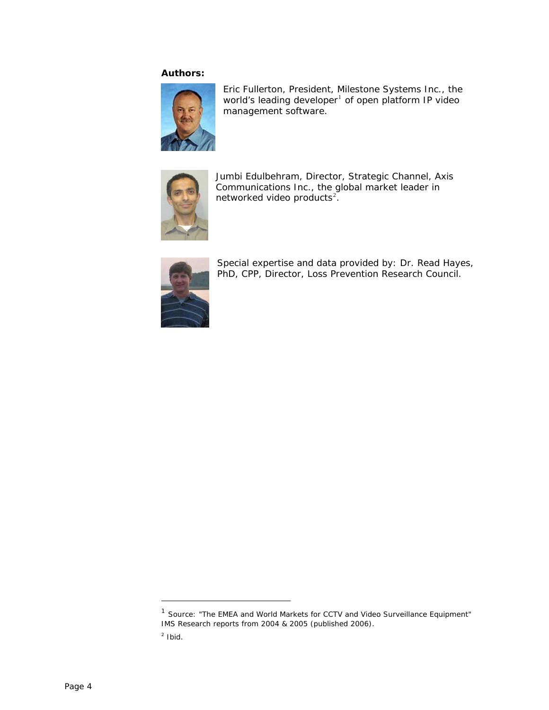#### **Authors:**



Eric Fullerton, President, Milestone Systems Inc., the world's leading developer<sup>[1](#page-3-0)</sup> of open platform IP video management software.



Jumbi Edulbehram, Director, Strategic Channel, Axis Communications Inc., the global market leader in networked video products $^2$  $^2$ .



Special expertise and data provided by: Dr. Read Hayes, PhD, CPP, Director, Loss Prevention Research Council.

<span id="page-3-0"></span><sup>&</sup>lt;sup>1</sup> Source: "The EMEA and World Markets for CCTV and Video Surveillance Equipment" IMS Research reports from 2004 & 2005 (published 2006).

<span id="page-3-1"></span> $2$  Ibid.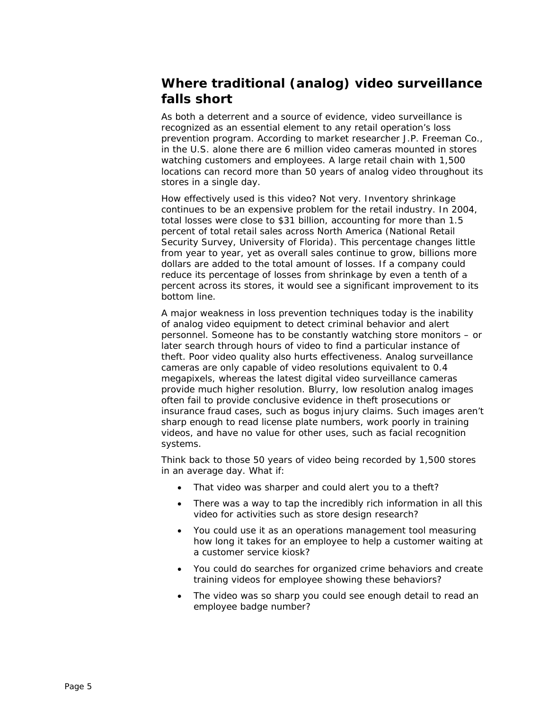# <span id="page-4-0"></span>**Where traditional (analog) video surveillance falls short**

As both a deterrent and a source of evidence, video surveillance is recognized as an essential element to any retail operation's loss prevention program. According to market researcher J.P. Freeman Co., in the U.S. alone there are 6 million video cameras mounted in stores watching customers and employees. A large retail chain with 1,500 locations can record more than 50 years of analog video throughout its stores in a single day.

How effectively used is this video? Not very. Inventory shrinkage continues to be an expensive problem for the retail industry. In 2004, total losses were close to \$31 billion, accounting for more than 1.5 percent of total retail sales across North America (National Retail Security Survey, University of Florida). This percentage changes little from year to year, yet as overall sales continue to grow, billions more dollars are added to the total amount of losses. If a company could reduce its percentage of losses from shrinkage by even a tenth of a percent across its stores, it would see a significant improvement to its bottom line.

A major weakness in loss prevention techniques today is the inability of analog video equipment to detect criminal behavior and alert personnel. Someone has to be constantly watching store monitors – or later search through hours of video to find a particular instance of theft. Poor video quality also hurts effectiveness. Analog surveillance cameras are only capable of video resolutions equivalent to 0.4 megapixels, whereas the latest digital video surveillance cameras provide much higher resolution. Blurry, low resolution analog images often fail to provide conclusive evidence in theft prosecutions or insurance fraud cases, such as bogus injury claims. Such images aren't sharp enough to read license plate numbers, work poorly in training videos, and have no value for other uses, such as facial recognition systems.

Think back to those 50 years of video being recorded by 1,500 stores in an average day. What if:

- That video was sharper and could alert you to a theft?
- There was a way to tap the incredibly rich information in all this video for activities such as store design research?
- You could use it as an operations management tool measuring how long it takes for an employee to help a customer waiting at a customer service kiosk?
- You could do searches for organized crime behaviors and create training videos for employee showing these behaviors?
- The video was so sharp you could see enough detail to read an employee badge number?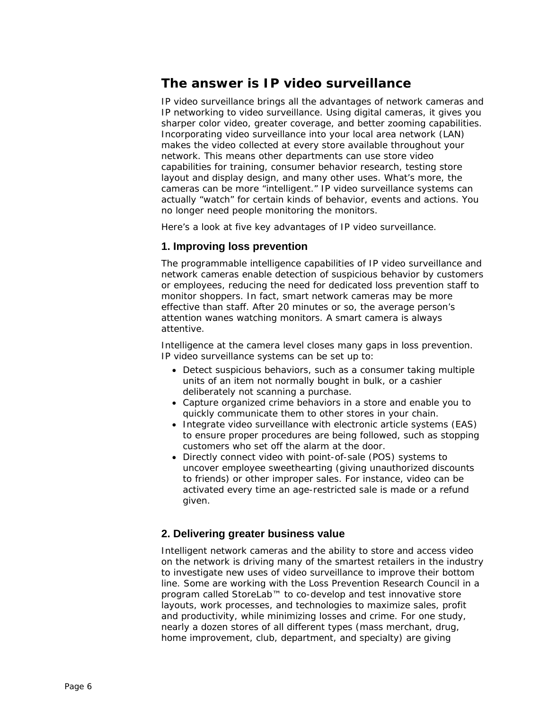### <span id="page-5-0"></span>**The answer is IP video surveillance**

IP video surveillance brings all the advantages of network cameras and IP networking to video surveillance. Using digital cameras, it gives you sharper color video, greater coverage, and better zooming capabilities. Incorporating video surveillance into your local area network (LAN) makes the video collected at every store available throughout your network. This means other departments can use store video capabilities for training, consumer behavior research, testing store layout and display design, and many other uses. What's more, the cameras can be more "intelligent." IP video surveillance systems can actually "watch" for certain kinds of behavior, events and actions. You no longer need people monitoring the monitors.

Here's a look at five key advantages of IP video surveillance.

#### **1. Improving loss prevention**

The programmable intelligence capabilities of IP video surveillance and network cameras enable detection of suspicious behavior by customers or employees, reducing the need for dedicated loss prevention staff to monitor shoppers. In fact, smart network cameras may be more effective than staff. After 20 minutes or so, the average person's attention wanes watching monitors. A smart camera is always attentive.

Intelligence at the camera level closes many gaps in loss prevention. IP video surveillance systems can be set up to:

- Detect suspicious behaviors, such as a consumer taking multiple units of an item not normally bought in bulk, or a cashier deliberately not scanning a purchase.
- Capture organized crime behaviors in a store and enable you to quickly communicate them to other stores in your chain.
- Integrate video surveillance with electronic article systems (EAS) to ensure proper procedures are being followed, such as stopping customers who set off the alarm at the door.
- Directly connect video with point-of-sale (POS) systems to uncover employee sweethearting (giving unauthorized discounts to friends) or other improper sales. For instance, video can be activated every time an age-restricted sale is made or a refund given.

#### **2. Delivering greater business value**

Intelligent network cameras and the ability to store and access video on the network is driving many of the smartest retailers in the industry to investigate new uses of video surveillance to improve their bottom line. Some are working with the Loss Prevention Research Council in a program called StoreLab™ to co-develop and test innovative store layouts, work processes, and technologies to maximize sales, profit and productivity, while minimizing losses and crime. For one study, nearly a dozen stores of all different types (mass merchant, drug, home improvement, club, department, and specialty) are giving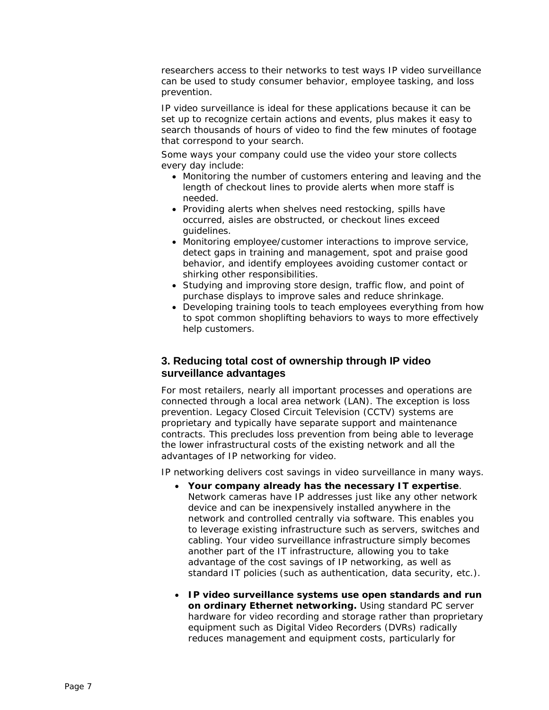<span id="page-6-0"></span>researchers access to their networks to test ways IP video surveillance can be used to study consumer behavior, employee tasking, and loss prevention.

IP video surveillance is ideal for these applications because it can be set up to recognize certain actions and events, plus makes it easy to search thousands of hours of video to find the few minutes of footage that correspond to your search.

Some ways your company could use the video your store collects every day include:

- Monitoring the number of customers entering and leaving and the length of checkout lines to provide alerts when more staff is needed.
- Providing alerts when shelves need restocking, spills have occurred, aisles are obstructed, or checkout lines exceed guidelines.
- Monitoring employee/customer interactions to improve service, detect gaps in training and management, spot and praise good behavior, and identify employees avoiding customer contact or shirking other responsibilities.
- Studying and improving store design, traffic flow, and point of purchase displays to improve sales and reduce shrinkage.
- Developing training tools to teach employees everything from how to spot common shoplifting behaviors to ways to more effectively help customers.

#### **3. Reducing total cost of ownership through IP video surveillance advantages**

For most retailers, nearly all important processes and operations are connected through a local area network (LAN). The exception is loss prevention. Legacy Closed Circuit Television (CCTV) systems are proprietary and typically have separate support and maintenance contracts. This precludes loss prevention from being able to leverage the lower infrastructural costs of the existing network and all the advantages of IP networking for video.

IP networking delivers cost savings in video surveillance in many ways.

- **Your company already has the necessary IT expertise***.*  Network cameras have IP addresses just like any other network device and can be inexpensively installed anywhere in the network and controlled centrally via software. This enables you to leverage existing infrastructure such as servers, switches and cabling. Your video surveillance infrastructure simply becomes another part of the IT infrastructure, allowing you to take advantage of the cost savings of IP networking, as well as standard IT policies (such as authentication, data security, etc.).
- **IP video surveillance systems use open standards and run on ordinary Ethernet networking.** Using standard PC server hardware for video recording and storage rather than proprietary equipment such as Digital Video Recorders (DVRs) radically reduces management and equipment costs, particularly for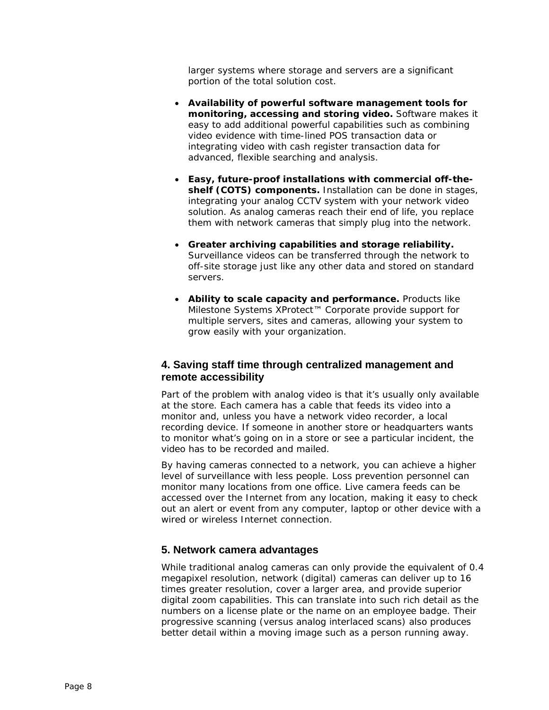<span id="page-7-0"></span>larger systems where storage and servers are a significant portion of the total solution cost.

- **Availability of powerful software management tools for monitoring, accessing and storing video.** Software makes it easy to add additional powerful capabilities such as combining video evidence with time-lined POS transaction data or integrating video with cash register transaction data for advanced, flexible searching and analysis.
- **Easy, future-proof installations with commercial off-theshelf (COTS) components.** Installation can be done in stages, integrating your analog CCTV system with your network video solution. As analog cameras reach their end of life, you replace them with network cameras that simply plug into the network.
- **Greater archiving capabilities and storage reliability.** Surveillance videos can be transferred through the network to off-site storage just like any other data and stored on standard servers.
- **Ability to scale capacity and performance.** Products like Milestone Systems XProtect™ Corporate provide support for multiple servers, sites and cameras, allowing your system to grow easily with your organization.

#### **4. Saving staff time through centralized management and remote accessibility**

Part of the problem with analog video is that it's usually only available at the store. Each camera has a cable that feeds its video into a monitor and, unless you have a network video recorder, a local recording device. If someone in another store or headquarters wants to monitor what's going on in a store or see a particular incident, the video has to be recorded and mailed.

By having cameras connected to a network, you can achieve a higher level of surveillance with less people. Loss prevention personnel can monitor many locations from one office. Live camera feeds can be accessed over the Internet from any location, making it easy to check out an alert or event from any computer, laptop or other device with a wired or wireless Internet connection.

#### **5. Network camera advantages**

While traditional analog cameras can only provide the equivalent of 0.4 megapixel resolution, network (digital) cameras can deliver up to 16 times greater resolution, cover a larger area, and provide superior digital zoom capabilities. This can translate into such rich detail as the numbers on a license plate or the name on an employee badge. Their progressive scanning (versus analog interlaced scans) also produces better detail within a moving image such as a person running away.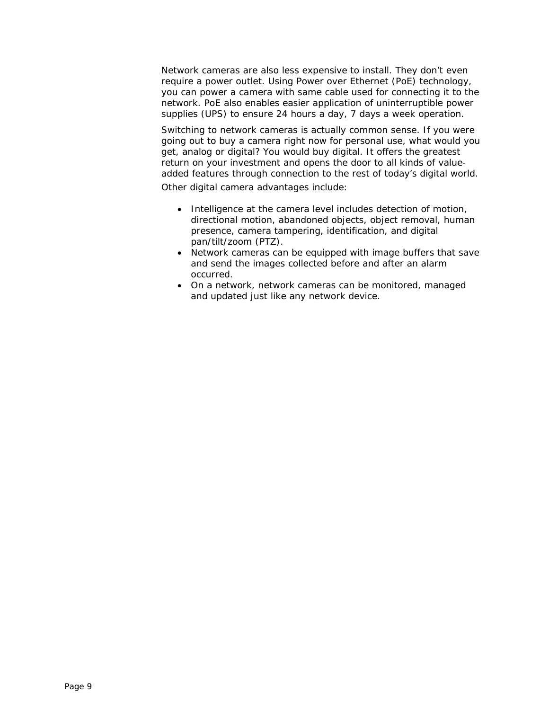Network cameras are also less expensive to install. They don't even require a power outlet. Using Power over Ethernet (PoE) technology, you can power a camera with same cable used for connecting it to the network. PoE also enables easier application of uninterruptible power supplies (UPS) to ensure 24 hours a day, 7 days a week operation.

Switching to network cameras is actually common sense. If you were going out to buy a camera right now for personal use, what would you get, analog or digital? You would buy digital. It offers the greatest return on your investment and opens the door to all kinds of valueadded features through connection to the rest of today's digital world.

Other digital camera advantages include:

- Intelligence at the camera level includes detection of motion, directional motion, abandoned objects, object removal, human presence, camera tampering, identification, and digital pan/tilt/zoom (PTZ).
- Network cameras can be equipped with image buffers that save and send the images collected before and after an alarm occurred.
- On a network, network cameras can be monitored, managed and updated just like any network device.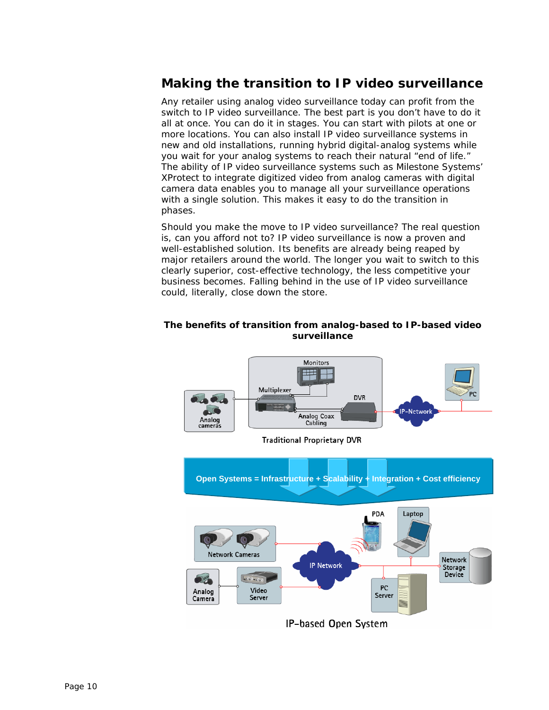# <span id="page-9-0"></span>**Making the transition to IP video surveillance**

Any retailer using analog video surveillance today can profit from the switch to IP video surveillance. The best part is you don't have to do it all at once. You can do it in stages. You can start with pilots at one or more locations. You can also install IP video surveillance systems in new and old installations, running hybrid digital-analog systems while you wait for your analog systems to reach their natural "end of life." The ability of IP video surveillance systems such as Milestone Systems' XProtect to integrate digitized video from analog cameras with digital camera data enables you to manage all your surveillance operations with a single solution. This makes it easy to do the transition in phases.

Should you make the move to IP video surveillance? The real question is, can you afford not to? IP video surveillance is now a proven and well-established solution. Its benefits are already being reaped by major retailers around the world. The longer you wait to switch to this clearly superior, cost-effective technology, the less competitive your business becomes. Falling behind in the use of IP video surveillance could, literally, close down the store.

#### **The benefits of transition from analog-based to IP-based video surveillance**



**Traditional Proprietary DVR** 

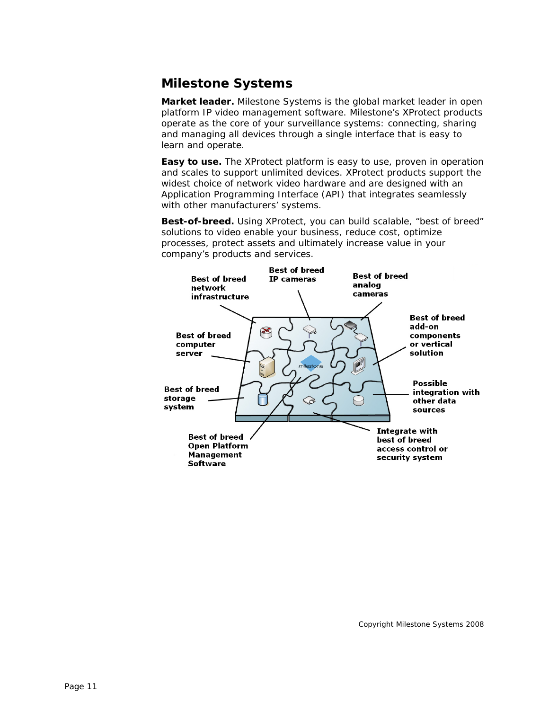# <span id="page-10-0"></span>**Milestone Systems**

**Market leader.** Milestone Systems is the global market leader in open platform IP video management software. Milestone's XProtect products operate as the core of your surveillance systems: connecting, sharing and managing all devices through a single interface that is easy to learn and operate.

**Easy to use.** The XProtect platform is easy to use, proven in operation and scales to support unlimited devices. XProtect products support the widest choice of network video hardware and are designed with an Application Programming Interface (API) that integrates seamlessly with other manufacturers' systems.

**Best-of-breed.** Using XProtect, you can build scalable, "best of breed" solutions to video enable your business, reduce cost, optimize processes, protect assets and ultimately increase value in your company's products and services.



Copyright Milestone Systems 2008